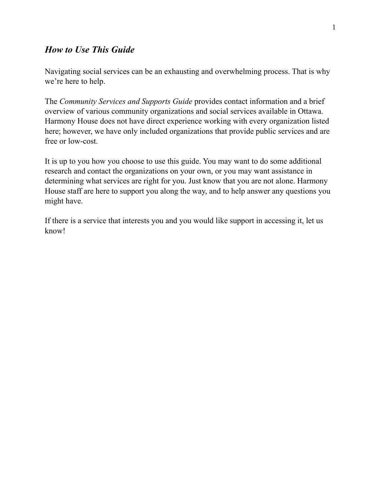# *How to Use This Guide*

Navigating social services can be an exhausting and overwhelming process. That is why we're here to help.

The *Community Services and Supports Guide* provides contact information and a brief overview of various community organizations and social services available in Ottawa. Harmony House does not have direct experience working with every organization listed here; however, we have only included organizations that provide public services and are free or low-cost.

It is up to you how you choose to use this guide. You may want to do some additional research and contact the organizations on your own, or you may want assistance in determining what services are right for you. Just know that you are not alone. Harmony House staff are here to support you along the way, and to help answer any questions you might have.

If there is a service that interests you and you would like support in accessing it, let us know!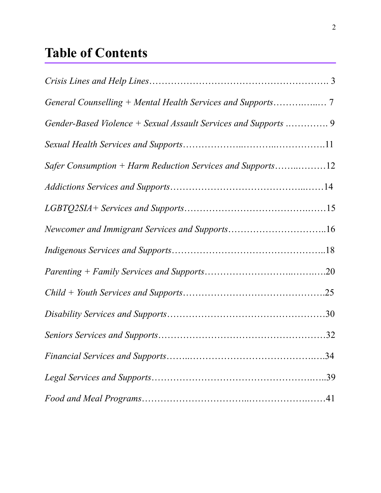# **Table of Contents**

| Safer Consumption + Harm Reduction Services and Supports12 |  |
|------------------------------------------------------------|--|
|                                                            |  |
|                                                            |  |
|                                                            |  |
|                                                            |  |
|                                                            |  |
|                                                            |  |
|                                                            |  |
|                                                            |  |
|                                                            |  |
|                                                            |  |
|                                                            |  |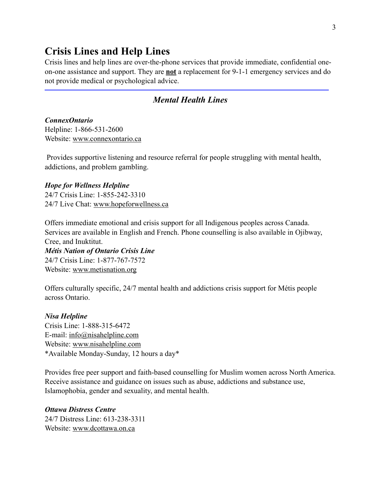# **Crisis Lines and Help Lines**

Crisis lines and help lines are over-the-phone services that provide immediate, confidential oneon-one assistance and support. They are **not** a replacement for 9-1-1 emergency services and do not provide medical or psychological advice.

# *Mental Health Lines*

# *ConnexOntario*  Helpline: 1-866-531-2600

Website: [www.connexontario.ca](http://www.connexontario.ca)

 Provides supportive listening and resource referral for people struggling with mental health, addictions, and problem gambling.

#### *Hope for Wellness Helpline*

24/7 Crisis Line: 1-855-242-3310 24/7 Live Chat: [www.hopeforwellness.ca](http://www.hopeforwellness.ca) 

Offers immediate emotional and crisis support for all Indigenous peoples across Canada. Services are available in English and French. Phone counselling is also available in Ojibway, Cree, and Inuktitut.

*Métis Nation of Ontario Crisis Line*  24/7 Crisis Line: 1-877-767-7572 Website: [www.metisnation.org](http://www.metisnation.org) 

Offers culturally specific, 24/7 mental health and addictions crisis support for Métis people across Ontario.

#### *Nisa Helpline*

Crisis Line: 1-888-315-6472 E-mail: [info@nisahelpline.com](mailto:info@nisahelpline.com) Website: [www.nisahelpline.com](http://www.nisahelpline.com)  \*Available Monday-Sunday, 12 hours a day\*

Provides free peer support and faith-based counselling for Muslim women across North America. Receive assistance and guidance on issues such as abuse, addictions and substance use, Islamophobia, gender and sexuality, and mental health.

# *Ottawa Distress Centre*  24/7 Distress Line: 613-238-3311 Website: [www.dcottawa.on.ca](http://www.dcottawa.on.ca)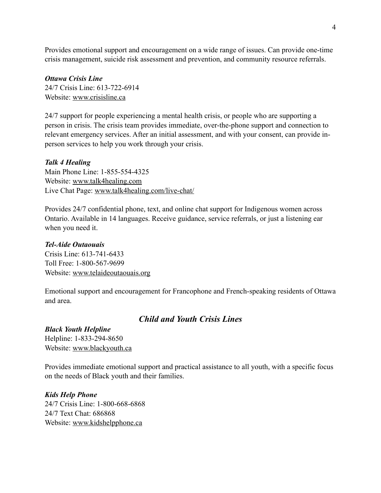Provides emotional support and encouragement on a wide range of issues. Can provide one-time crisis management, suicide risk assessment and prevention, and community resource referrals.

# *Ottawa Crisis Line*  24/7 Crisis Line: 613-722-6914 Website: [www.crisisline.ca](http://www.crisisline.ca)

24/7 support for people experiencing a mental health crisis, or people who are supporting a person in crisis. The crisis team provides immediate, over-the-phone support and connection to relevant emergency services. After an initial assessment, and with your consent, can provide inperson services to help you work through your crisis.

# *Talk 4 Healing*

Main Phone Line: 1-855-554-4325 Website: [www.talk4healing.com](http://www.talk4healing.com)  Live Chat Page: [www.talk4healing.com/live-chat/](http://www.talk4healing.com/live-chat/)

Provides 24/7 confidential phone, text, and online chat support for Indigenous women across Ontario. Available in 14 languages. Receive guidance, service referrals, or just a listening ear when you need it.

#### *Tel-Aide Outaouais*

Crisis Line: 613-741-6433 Toll Free: 1-800-567-9699 Website: [www.telaideoutaouais.org](http://www.telaideoutaouais.org) 

Emotional support and encouragement for Francophone and French-speaking residents of Ottawa and area.

# *Child and Youth Crisis Lines*

*Black Youth Helpline*  Helpline: 1-833-294-8650 Website: [www.blackyouth.ca](http://www.blackyouth.ca) 

Provides immediate emotional support and practical assistance to all youth, with a specific focus on the needs of Black youth and their families.

*Kids Help Phone*  24/7 Crisis Line: 1-800-668-6868 24/7 Text Chat: 686868 Website: [www.kidshelpphone.ca](http://www.kidshelpphone.ca)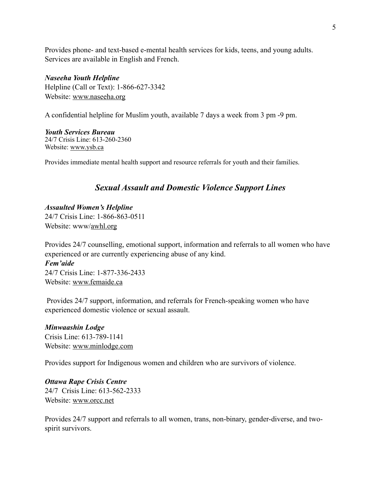Provides phone- and text-based e-mental health services for kids, teens, and young adults. Services are available in English and French.

#### *Naseeha Youth Helpline*

Helpline (Call or Text): 1-866-627-3342 Website: [www.naseeha.org](http://www.naseeha.org) 

A confidential helpline for Muslim youth, available 7 days a week from 3 pm -9 pm.

*Youth Services Bureau*  24/7 Crisis Line: 613-260-2360 Website: [www.ysb.ca](http://www.ysb.ca) 

Provides immediate mental health support and resource referrals for youth and their families.

#### *Sexual Assault and Domestic Violence Support Lines*

*Assaulted Women's Helpline*  24/7 Crisis Line: 1-866-863-0511 Website: www[/awhl.org](http://awhl.org)

Provides 24/7 counselling, emotional support, information and referrals to all women who have experienced or are currently experiencing abuse of any kind.

*Fem'aide*  24/7 Crisis Line: 1-877-336-2433 Website: [www.femaide.ca](http://www.femaide.ca)

Provides 24/7 support, information, and referrals for French-speaking women who have experienced domestic violence or sexual assault.

*Minwaashin Lodge*  Crisis Line: 613-789-1141 Website: [www.minlodge.com](http://www.minlodge.com) 

Provides support for Indigenous women and children who are survivors of violence.

*Ottawa Rape Crisis Centre*  24/7 Crisis Line: 613-562-2333 Website: [www.orcc.net](http://www.orcc.net)

Provides 24/7 support and referrals to all women, trans, non-binary, gender-diverse, and twospirit survivors.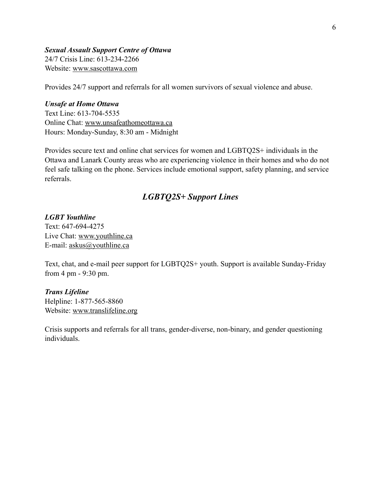#### *Sexual Assault Support Centre of Ottawa*  24/7 Crisis Line: 613-234-2266 Website: [www.sascottawa.com](http://www.sascottawa.com)

Provides 24/7 support and referrals for all women survivors of sexual violence and abuse.

#### *Unsafe at Home Ottawa*

Text Line: 613-704-5535 Online Chat: [www.unsafeathomeottawa.ca](http://www.unsafeathomeottawa.ca) Hours: Monday-Sunday, 8:30 am - Midnight

Provides secure text and online chat services for women and LGBTQ2S+ individuals in the Ottawa and Lanark County areas who are experiencing violence in their homes and who do not feel safe talking on the phone. Services include emotional support, safety planning, and service referrals.

# *LGBTQ2S+ Support Lines*

*LGBT Youthline*  Text: 647-694-4275 Live Chat: [www.youthline.ca](http://www.youthline.ca) E-mail: [askus@youthline.ca](mailto:askus@youthline.ca) 

Text, chat, and e-mail peer support for LGBTQ2S+ youth. Support is available Sunday-Friday from 4 pm - 9:30 pm.

#### *Trans Lifeline*

Helpline: 1-877-565-8860 Website: [www.translifeline.org](http://www.translifeline.org) 

Crisis supports and referrals for all trans, gender-diverse, non-binary, and gender questioning individuals.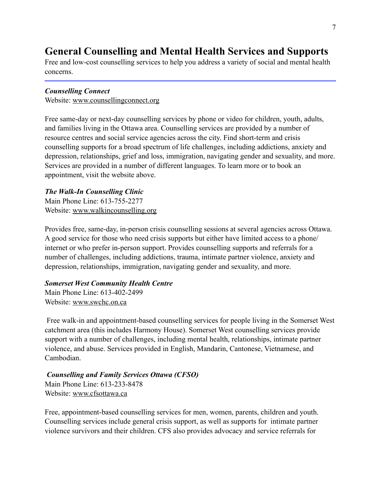# **General Counselling and Mental Health Services and Supports**

Free and low-cost counselling services to help you address a variety of social and mental health concerns.

#### *Counselling Connect*

Website: [www.counsellingconnect.org](http://www.counsellingconnect.org)

Free same-day or next-day counselling services by phone or video for children, youth, adults, and families living in the Ottawa area. Counselling services are provided by a number of resource centres and social service agencies across the city. Find short-term and crisis counselling supports for a broad spectrum of life challenges, including addictions, anxiety and depression, relationships, grief and loss, immigration, navigating gender and sexuality, and more. Services are provided in a number of different languages. To learn more or to book an appointment, visit the website above.

# *The Walk-In Counselling Clinic*

Main Phone Line: 613-755-2277 Website: [www.walkincounselling.org](http://www.walkincounselling.org) 

Provides free, same-day, in-person crisis counselling sessions at several agencies across Ottawa. A good service for those who need crisis supports but either have limited access to a phone/ internet or who prefer in-person support. Provides counselling supports and referrals for a number of challenges, including addictions, trauma, intimate partner violence, anxiety and depression, relationships, immigration, navigating gender and sexuality, and more.

#### *Somerset West Community Health Centre*

Main Phone Line: 613-402-2499 Website: [www.swchc.on.ca](http://www.swchc.on.ca)

 Free walk-in and appointment-based counselling services for people living in the Somerset West catchment area (this includes Harmony House). Somerset West counselling services provide support with a number of challenges, including mental health, relationships, intimate partner violence, and abuse. Services provided in English, Mandarin, Cantonese, Vietnamese, and Cambodian.

# *Counselling and Family Services Ottawa (CFSO)*  Main Phone Line: 613-233-8478 Website: [www.cfsottawa.ca](http://www.cfsottawa.ca)

Free, appointment-based counselling services for men, women, parents, children and youth. Counselling services include general crisis support, as well as supports for intimate partner violence survivors and their children. CFS also provides advocacy and service referrals for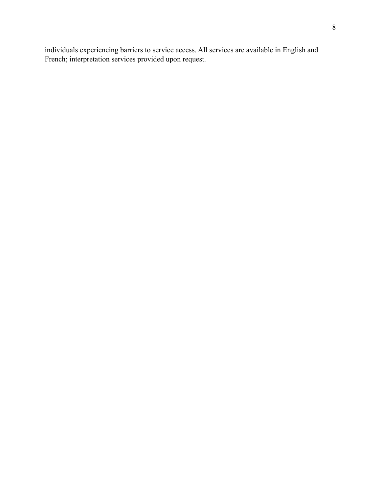individuals experiencing barriers to service access. All services are available in English and French; interpretation services provided upon request.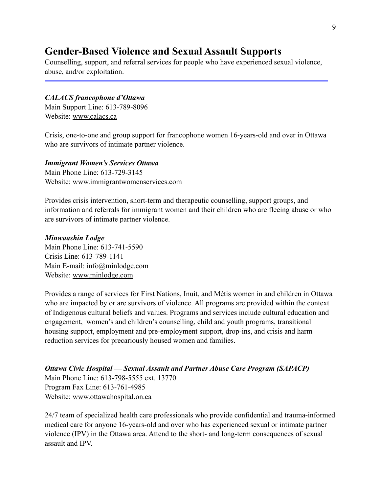# **Gender-Based Violence and Sexual Assault Supports**

Counselling, support, and referral services for people who have experienced sexual violence, abuse, and/or exploitation.

#### *CALACS francophone d'Ottawa*

Main Support Line: 613-789-8096 Website: [www.calacs.ca](http://www.calacs.ca) 

Crisis, one-to-one and group support for francophone women 16-years-old and over in Ottawa who are survivors of intimate partner violence.

*Immigrant Women's Services Ottawa*  Main Phone Line: 613-729-3145 Website: [www.immigrantwomenservices.com](http://www.immigrantwomenservices.com) 

Provides crisis intervention, short-term and therapeutic counselling, support groups, and information and referrals for immigrant women and their children who are fleeing abuse or who are survivors of intimate partner violence.

#### *Minwaashin Lodge*

Main Phone Line: 613-741-5590 Crisis Line: 613-789-1141 Main E-mail: [info@minlodge.com](mailto:info@minlodge.com)  Website: [www.minlodge.com](http://www.minlodge.com) 

Provides a range of services for First Nations, Inuit, and Métis women in and children in Ottawa who are impacted by or are survivors of violence. All programs are provided within the context of Indigenous cultural beliefs and values. Programs and services include cultural education and engagement, women's and children's counselling, child and youth programs, transitional housing support, employment and pre-employment support, drop-ins, and crisis and harm reduction services for precariously housed women and families.

*Ottawa Civic Hospital — Sexual Assault and Partner Abuse Care Program (SAPACP)*  Main Phone Line: 613-798-5555 ext. 13770 Program Fax Line: 613-761-4985 Website: [www.ottawahospital.on.ca](http://www.ottawahospital.on.ca) 

24/7 team of specialized health care professionals who provide confidential and trauma-informed medical care for anyone 16-years-old and over who has experienced sexual or intimate partner violence (IPV) in the Ottawa area. Attend to the short- and long-term consequences of sexual assault and IPV.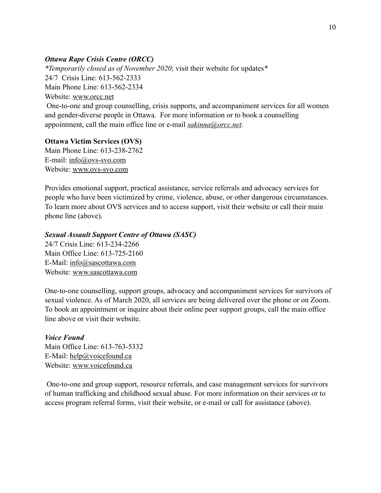### *Ottawa Rape Crisis Centre (ORCC)*

*\*Temporarily closed as of November 2020*; visit their website for updates*\**  24/7 Crisis Line: 613-562-2333 Main Phone Line: 613-562-2334 Website: [www.orcc.net](http://www.orcc.net) One-to-one and group counselling, crisis supports, and accompaniment services for all women and gender-diverse people in Ottawa. For more information or to book a counselling appointment, call the main office line or e-mail *[sakinna@orcc.net](mailto:sakinna@orcc.net)*.

#### **Ottawa Victim Services (OVS)**

Main Phone Line: 613-238-2762 E-mail: [info@ovs-svo.com](mailto:info@ovs-svo.com) Website: [www.ovs-svo.com](http://www.ovs-svo.com)

Provides emotional support, practical assistance, service referrals and advocacy services for people who have been victimized by crime, violence, abuse, or other dangerous circumstances. To learn more about OVS services and to access support, visit their website or call their main phone line (above).

#### *Sexual Assault Support Centre of Ottawa (SASC)*

24/7 Crisis Line: 613-234-2266 Main Office Line: 613-725-2160 E-Mail: [info@sascottawa.com](mailto:info@sascottawa.com) Website: [www.sascottawa.com](http://www.sascottawa.com) 

One-to-one counselling, support groups, advocacy and accompaniment services for survivors of sexual violence. As of March 2020, all services are being delivered over the phone or on Zoom. To book an appointment or inquire about their online peer support groups, call the main office line above or visit their website.

# *Voice Found*

Main Office Line: 613-763-5332 E-Mail: [help@voicefound.ca](mailto:help@voicefound.ca) Website: [www.voicefound.ca](http://www.voicefound.ca) 

 One-to-one and group support, resource referrals, and case management services for survivors of human trafficking and childhood sexual abuse. For more information on their services or to access program referral forms, visit their website, or e-mail or call for assistance (above).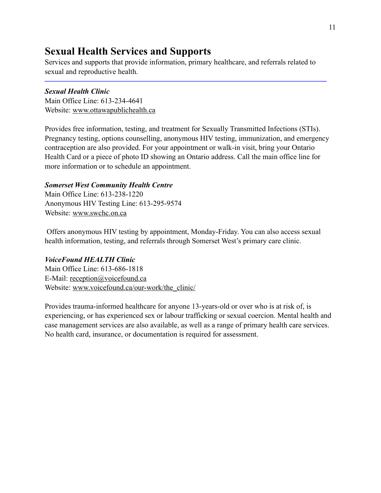# **Sexual Health Services and Supports**

Services and supports that provide information, primary healthcare, and referrals related to sexual and reproductive health.

# *Sexual Health Clinic*

Main Office Line: 613-234-4641 Website: [www.ottawapublichealth.ca](http://www.ottawapublichealth.ca) 

Provides free information, testing, and treatment for Sexually Transmitted Infections (STIs). Pregnancy testing, options counselling, anonymous HIV testing, immunization, and emergency contraception are also provided. For your appointment or walk-in visit, bring your Ontario Health Card or a piece of photo ID showing an Ontario address. Call the main office line for more information or to schedule an appointment.

# *Somerset West Community Health Centre*

Main Office Line: 613-238-1220 Anonymous HIV Testing Line: 613-295-9574 Website: [www.swchc.on.ca](http://www.swchc.on.ca) 

Offers anonymous HIV testing by appointment, Monday-Friday. You can also access sexual health information, testing, and referrals through Somerset West's primary care clinic.

# *VoiceFound HEALTH Clinic*

Main Office Line: 613-686-1818 E-Mail: [reception@voicefound.ca](mailto:reception@voicefound.ca)  Website: [www.voicefound.ca/our-work/the\\_clinic/](http://www.voicefound.ca/our-work/the_clinic/)

Provides trauma-informed healthcare for anyone 13-years-old or over who is at risk of, is experiencing, or has experienced sex or labour trafficking or sexual coercion. Mental health and case management services are also available, as well as a range of primary health care services. No health card, insurance, or documentation is required for assessment.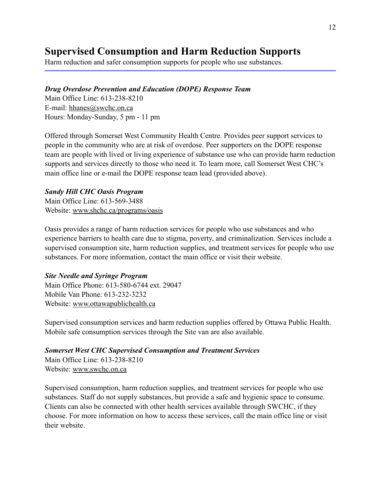# **Supervised Consumption and Harm Reduction Supports**

Harm reduction and safer consumption supports for people who use substances.

# *Drug Overdose Prevention and Education (DOPE) Response Team*

Main Office Line: 613-238-8210 E-mail: [hhanes@swchc.on.ca](mailto:hhanes@swchc.on.ca) Hours: Monday-Sunday, 5 pm - 11 pm

Offered through Somerset West Community Health Centre. Provides peer support services to people in the community who are at risk of overdose. Peer supporters on the DOPE response team are people with lived or living experience of substance use who can provide harm reduction supports and services directly to those who need it. To learn more, call Somerset West CHC's main office line or e-mail the DOPE response team lead (provided above).

# *Sandy Hill CHC Oasis Program*

Main Office Line: 613-569-3488 Website: [www.shchc.ca/programs/oasis](http://www.shchc.ca/programs/oasis) 

Oasis provides a range of harm reduction services for people who use substances and who experience barriers to health care due to stigma, poverty, and criminalization. Services include a supervised consumption site, harm reduction supplies, and treatment services for people who use substances. For more information, contact the main office or visit their website.

#### *Site Needle and Syringe Program*

Main Office Phone: 613-580-6744 ext. 29047 Mobile Van Phone: 613-232-3232 Website: [www.ottawapublichealth.ca](http://www.ottawapublichealth.ca) 

Supervised consumption services and harm reduction supplies offered by Ottawa Public Health. Mobile safe consumption services through the Site van are also available.

# *Somerset West CHC Supervised Consumption and Treatment Services*

Main Office Line: 613-238-8210 Website: [www.swchc.on.ca](http://www.swchc.on.ca) 

Supervised consumption, harm reduction supplies, and treatment services for people who use substances. Staff do not supply substances, but provide a safe and hygienic space to consume. Clients can also be connected with other health services available through SWCHC, if they choose. For more information on how to access these services, call the main office line or visit their website.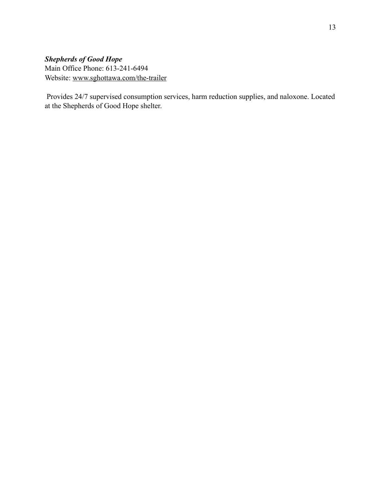# *Shepherds of Good Hope*  Main Office Phone: 613-241-6494 Website: [www.sghottawa.com/the-trailer](http://www.sghottawa.com/the-trailer)

 Provides 24/7 supervised consumption services, harm reduction supplies, and naloxone. Located at the Shepherds of Good Hope shelter.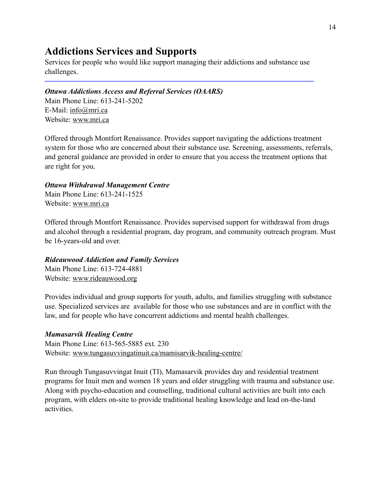# **Addictions Services and Supports**

Services for people who would like support managing their addictions and substance use challenges.

### *Ottawa Addictions Access and Referral Services (OAARS)*

Main Phone Line: 613-241-5202 E-Mail: [info@mri.ca](mailto:info@mri.ca) Website: [www.mri.ca](http://www.mri.ca)

Offered through Montfort Renaissance. Provides support navigating the addictions treatment system for those who are concerned about their substance use. Screening, assessments, referrals, and general guidance are provided in order to ensure that you access the treatment options that are right for you.

#### *Ottawa Withdrawal Management Centre*

Main Phone Line: 613-241-1525 Website: [www.mri.ca](http://www.mri.ca)

Offered through Montfort Renaissance. Provides supervised support for withdrawal from drugs and alcohol through a residential program, day program, and community outreach program. Must be 16-years-old and over.

# *Rideauwood Addiction and Family Services*

Main Phone Line: 613-724-4881 Website: [www.rideauwood.org](http://www.rideauwood.org)

Provides individual and group supports for youth, adults, and families struggling with substance use. Specialized services are available for those who use substances and are in conflict with the law, and for people who have concurrent addictions and mental health challenges.

# *Mamasarvik Healing Centre*

Main Phone Line: 613-565-5885 ext. 230 Website: [www.tungasuvvingatinuit.ca/mamisarvik-healing-centre/](http://www.tungasuvvingatinuit.ca/mamisarvik-healing-centre/)

Run through Tungasuvvingat Inuit (TI), Mamasarvik provides day and residential treatment programs for Inuit men and women 18 years and older struggling with trauma and substance use. Along with psycho-education and counselling, traditional cultural activities are built into each program, with elders on-site to provide traditional healing knowledge and lead on-the-land activities.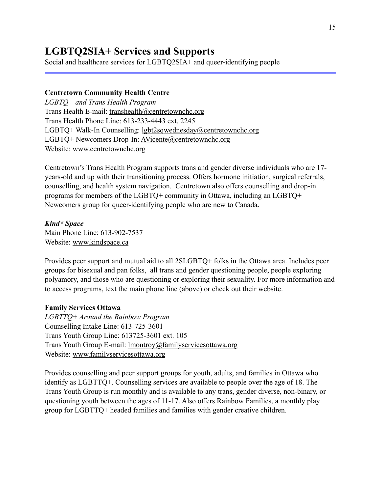# **LGBTQ2SIA+ Services and Supports**

Social and healthcare services for LGBTQ2SIA+ and queer-identifying people

#### **Centretown Community Health Centre**

*LGBTQ+ and Trans Health Program*  Trans Health E-mail: [transhealth@centretownchc.org](mailto:transhealth@centretownchc.org) Trans Health Phone Line: 613-233-4443 ext. 2245 LGBTQ+ Walk-In Counselling: [lgbt2sqwednesday@centretownchc.org](mailto:lgbt2sqwednesday@centretownchc.ca) LGBTQ+ Newcomers Drop-In: [AVicente@centretownchc.org](mailto:AVicente@centretownchc.org)  Website: [www.centretownchc.org](http://www.centretownchc.org) 

Centretown's Trans Health Program supports trans and gender diverse individuals who are 17 years-old and up with their transitioning process. Offers hormone initiation, surgical referrals, counselling, and health system navigation. Centretown also offers counselling and drop-in programs for members of the LGBTQ+ community in Ottawa, including an LGBTQ+ Newcomers group for queer-identifying people who are new to Canada.

#### *Kind\* Space*

Main Phone Line: 613-902-7537 Website: [www.kindspace.ca](http://www.kindspace.ca) 

Provides peer support and mutual aid to all 2SLGBTQ+ folks in the Ottawa area. Includes peer groups for bisexual and pan folks, all trans and gender questioning people, people exploring polyamory, and those who are questioning or exploring their sexuality. For more information and to access programs, text the main phone line (above) or check out their website.

#### **Family Services Ottawa**

*LGBTTQ+ Around the Rainbow Program*  Counselling Intake Line: 613-725-3601 Trans Youth Group Line: 613725-3601 ext. 105 Trans Youth Group E-mail: [lmontroy@familyservicesottawa.org](mailto:lmontroy@familyservicesottawa.org) Website: [www.familyservicesottawa.org](http://www.familyservicesottawa.org) 

Provides counselling and peer support groups for youth, adults, and families in Ottawa who identify as LGBTTQ+. Counselling services are available to people over the age of 18. The Trans Youth Group is run monthly and is available to any trans, gender diverse, non-binary, or questioning youth between the ages of 11-17. Also offers Rainbow Families, a monthly play group for LGBTTQ+ headed families and families with gender creative children.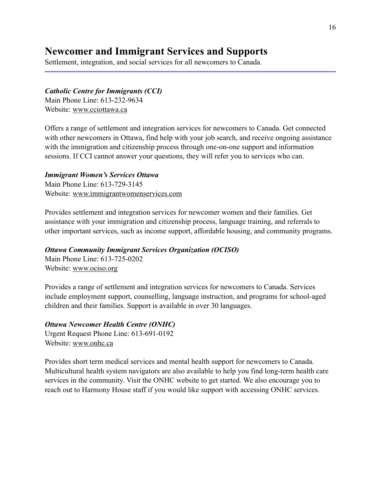# **Newcomer and Immigrant Services and Supports**

Settlement, integration, and social services for all newcomers to Canada.

#### *Catholic Centre for Immigrants (CCI)*

Main Phone Line: 613-232-9634 Website: [www.cciottawa.ca](http://www.cciottawa.ca)

Offers a range of settlement and integration services for newcomers to Canada. Get connected with other new comers in Ottawa, find help with your job search, and receive ongoing assistance with the immigration and citizenship process through one-on-one support and information sessions. If CCI cannot answer your questions, they will refer you to services who can.

#### *Immigrant Women's Services Ottawa*

Main Phone Line: 613-729-3145 Website: [www.immigrantwomenservices.com](http://www.immigrantwomenservices.com)

Provides settlement and integration services for newcomer women and their families. Get assistance with your immigration and citizenship process, language training, and referrals to other important services, such as income support, affordable housing, and community programs.

#### *Ottawa Community Immigrant Services Organization (OCISO)*

Main Phone Line: 613-725-0202 Website: [www.ociso.org](http://www.ociso.org)

Provides a range of settlement and integration services for newcomers to Canada. Services include employment support, counselling, language instruction, and programs for school-aged children and their families. Support is available in over 30 languages.

*Ottawa Newcomer Health Centre (ONHC)*  Urgent Request Phone Line: 613-691-0192 Website: [www.onhc.ca](http://www.onhc.ca) 

Provides short term medical services and mental health support for newcomers to Canada. Multicultural health system navigators are also available to help you find long-term health care services in the community. Visit the ONHC website to get started. We also encourage you to reach out to Harmony House staff if you would like support with accessing ONHC services.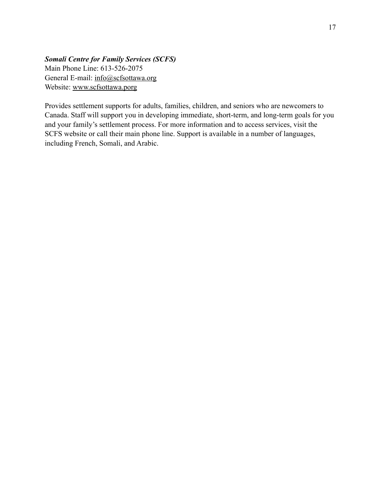# *Somali Centre for Family Services (SCFS)*  Main Phone Line: 613-526-2075 General E-mail: [info@scfsottawa.org](mailto:info@scfsottawa.org) Website: [www.scfsottawa.porg](http://www.scfsottawa.porg)

Provides settlement supports for adults, families, children, and seniors who are newcomers to Canada. Staff will support you in developing immediate, short-term, and long-term goals for you and your family's settlement process. For more information and to access services, visit the SCFS website or call their main phone line. Support is available in a number of languages, including French, Somali, and Arabic.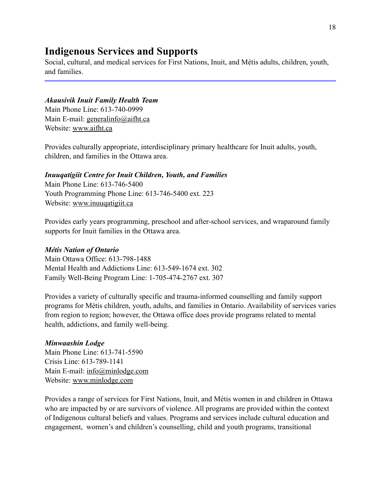# **Indigenous Services and Supports**

Social, cultural, and medical services for First Nations, Inuit, and Métis adults, children, youth, and families.

# *Akausivik Inuit Family Health Team*

Main Phone Line: 613-740-0999 Main E-mail: [generalinfo@aifht.ca](mailto:generalinfo@aifht.ca) Website: [www.aifht.ca](http://www.aifht.ca) 

Provides culturally appropriate, interdisciplinary primary healthcare for Inuit adults, youth, children, and families in the Ottawa area.

# *Inuuqatigiit Centre for Inuit Children, Youth, and Families*

Main Phone Line: 613-746-5400 Youth Programming Phone Line: 613-746-5400 ext. 223 Website: [www.inuuqatigiit.ca](http://www.inuuqatigiit.ca)

Provides early years programming, preschool and after-school services, and wraparound family supports for Inuit families in the Ottawa area.

# *Métis Nation of Ontario*

Main Ottawa Office: 613-798-1488 Mental Health and Addictions Line: 613-549-1674 ext. 302 Family Well-Being Program Line: 1-705-474-2767 ext. 307

Provides a variety of culturally specific and trauma-informed counselling and family support programs for Métis children, youth, adults, and families in Ontario. Availability of services varies from region to region; however, the Ottawa office does provide programs related to mental health, addictions, and family well-being.

# *Minwaashin Lodge*

Main Phone Line: 613-741-5590 Crisis Line: 613-789-1141 Main E-mail: [info@minlodge.com](mailto:info@minlodge.com)  Website: [www.minlodge.com](http://www.minlodge.com) 

Provides a range of services for First Nations, Inuit, and Métis women in and children in Ottawa who are impacted by or are survivors of violence. All programs are provided within the context of Indigenous cultural beliefs and values. Programs and services include cultural education and engagement, women's and children's counselling, child and youth programs, transitional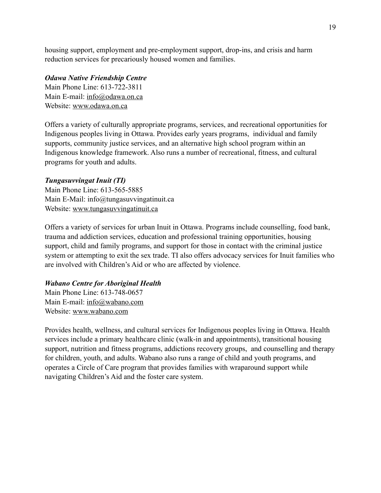housing support, employment and pre-employment support, drop-ins, and crisis and harm reduction services for precariously housed women and families.

#### *Odawa Native Friendship Centre*

Main Phone Line: 613-722-3811 Main E-mail: [info@odawa.on.ca](mailto:info@odawa.on.ca)  Website: [www.odawa.on.ca](http://www.odawa.on.ca) 

Offers a variety of culturally appropriate programs, services, and recreational opportunities for Indigenous peoples living in Ottawa. Provides early years programs, individual and family supports, community justice services, and an alternative high school program within an Indigenous knowledge framework. Also runs a number of recreational, fitness, and cultural programs for youth and adults.

#### *Tungasuvvingat Inuit (TI)*

Main Phone Line: 613-565-5885 Main E-Mail: info@tungasuvvingatinuit.ca Website: [www.tungasuvvingatinuit.ca](http://www.tungasuvvingatinuit.ca) 

Offers a variety of services for urban Inuit in Ottawa. Programs include counselling, food bank, trauma and addiction services, education and professional training opportunities, housing support, child and family programs, and support for those in contact with the criminal justice system or attempting to exit the sex trade. TI also offers advocacy services for Inuit families who are involved with Children's Aid or who are affected by violence.

#### *Wabano Centre for Aboriginal Health*

Main Phone Line: 613-748-0657 Main E-mail: [info@wabano.com](mailto:info@wabano.com)  Website: [www.wabano.com](http://www.wabano.com) 

Provides health, wellness, and cultural services for Indigenous peoples living in Ottawa. Health services include a primary healthcare clinic (walk-in and appointments), transitional housing support, nutrition and fitness programs, addictions recovery groups, and counselling and therapy for children, youth, and adults. Wabano also runs a range of child and youth programs, and operates a Circle of Care program that provides families with wraparound support while navigating Children's Aid and the foster care system.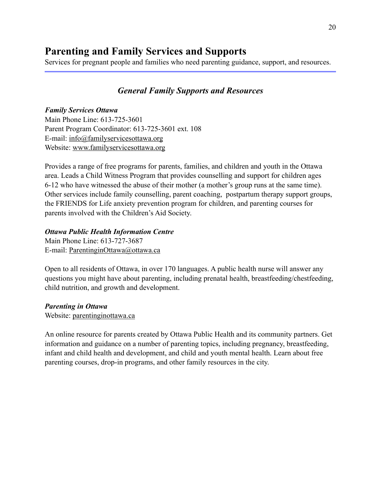# **Parenting and Family Services and Supports**

Services for pregnant people and families who need parenting guidance, support, and resources.

# *General Family Supports and Resources*

#### *Family Services Ottawa*

Main Phone Line: 613-725-3601 Parent Program Coordinator: 613-725-3601 ext. 108 E-mail: [info@familyservicesottawa.org](mailto:info@familyservicesottawa.org) Website: [www.familyservicesottawa.org](http://www.familyservicesottawa.org) 

Provides a range of free programs for parents, families, and children and youth in the Ottawa area. Leads a Child Witness Program that provides counselling and support for children ages 6-12 who have witnessed the abuse of their mother (a mother's group runs at the same time). Other services include family counselling, parent coaching, postpartum therapy support groups, the FRIENDS for Life anxiety prevention program for children, and parenting courses for parents involved with the Children's Aid Society.

#### *Ottawa Public Health Information Centre*

Main Phone Line: 613-727-3687 E-mail: [ParentinginOttawa@ottawa.ca](mailto:ParentinginOttawa@ottawa.ca) 

Open to all residents of Ottawa, in over 170 languages. A public health nurse will answer any questions you might have about parenting, including prenatal health, breastfeeding/chestfeeding, child nutrition, and growth and development.

#### *Parenting in Ottawa*

Website: [parentinginottawa.ca](http://parentinginottawa.ca) 

An online resource for parents created by Ottawa Public Health and its community partners. Get information and guidance on a number of parenting topics, including pregnancy, breastfeeding, infant and child health and development, and child and youth mental health. Learn about free parenting courses, drop-in programs, and other family resources in the city.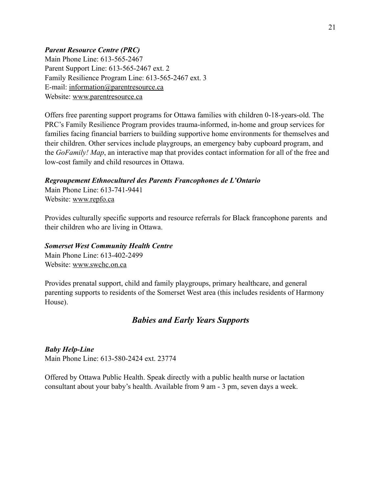### *Parent Resource Centre (PRC)*

Main Phone Line: 613-565-2467 Parent Support Line: 613-565-2467 ext. 2 Family Resilience Program Line: 613-565-2467 ext. 3 E-mail: [information@parentresource.ca](mailto:information@parentresource.ca)  Website: [www.parentresource.ca](http://www.parentresource.ca)

Offers free parenting support programs for Ottawa families with children 0-18-years-old. The PRC's Family Resilience Program provides trauma-informed, in-home and group services for families facing financial barriers to building supportive home environments for themselves and their children. Other services include playgroups, an emergency baby cupboard program, and the *GoFamily! Map*, an interactive map that provides contact information for all of the free and low-cost family and child resources in Ottawa.

#### *Regroupement Ethnoculturel des Parents Francophones de L'Ontario*

Main Phone Line: 613-741-9441 Website: [www.repfo.ca](http://www.repfo.ca) 

Provides culturally specific supports and resource referrals for Black francophone parents and their children who are living in Ottawa.

### *Somerset West Community Health Centre*

Main Phone Line: 613-402-2499 Website: [www.swchc.on.ca](http://www.swchc.on.ca)

Provides prenatal support, child and family playgroups, primary healthcare, and general parenting supports to residents of the Somerset West area (this includes residents of Harmony House).

# *Babies and Early Years Supports*

# *Baby Help-Line*

Main Phone Line: 613-580-2424 ext. 23774

Offered by Ottawa Public Health. Speak directly with a public health nurse or lactation consultant about your baby's health. Available from 9 am - 3 pm, seven days a week.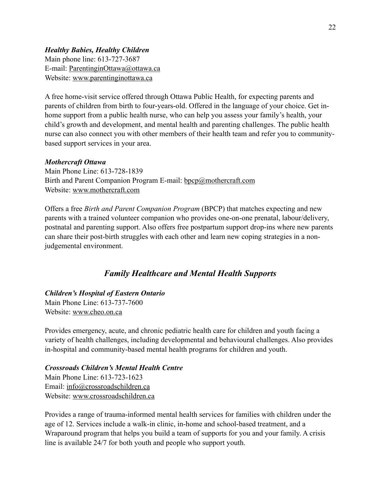### *Healthy Babies, Healthy Children*

Main phone line: 613-727-3687 E-mail: [ParentinginOttawa@ottawa.ca](mailto:ParentinginOttawa@ottawa.ca)  Website: [www.parentinginottawa.ca](https://www.parentinginottawa.ca/en/Home-Visits.aspx)

A free home-visit service offered through Ottawa Public Health, for expecting parents and parents of children from birth to four-years-old. Offered in the language of your choice. Get inhome support from a public health nurse, who can help you assess your family's health, your child's growth and development, and mental health and parenting challenges. The public health nurse can also connect you with other members of their health team and refer you to communitybased support services in your area.

#### *Mothercraft Ottawa*

Main Phone Line: 613-728-1839 Birth and Parent Companion Program E-mail: [bpcp@mothercraft.com](mailto:bpcp@mothercraft.com)  Website: [www.mothercraft.com](http://www.mothercraft.com)

Offers a free *Birth and Parent Companion Program* (BPCP) that matches expecting and new parents with a trained volunteer companion who provides one-on-one prenatal, labour/delivery, postnatal and parenting support. Also offers free postpartum support drop-ins where new parents can share their post-birth struggles with each other and learn new coping strategies in a nonjudgemental environment.

# *Family Healthcare and Mental Health Supports*

### *Children's Hospital of Eastern Ontario*  Main Phone Line: 613-737-7600 Website: [www.cheo.on.ca](http://www.cheo.on.ca)

Provides emergency, acute, and chronic pediatric health care for children and youth facing a variety of health challenges, including developmental and behavioural challenges. Also provides in-hospital and community-based mental health programs for children and youth.

# *Crossroads Children's Mental Health Centre*

Main Phone Line: 613-723-1623 Email: [info@crossroadschildren.ca](mailto:info@crossroadschildren.ca) Website: [www.crossroadschildren.ca](http://www.crossroadschildren.ca) 

Provides a range of trauma-informed mental health services for families with children under the age of 12. Services include a walk-in clinic, in-home and school-based treatment, and a Wraparound program that helps you build a team of supports for you and your family. A crisis line is available 24/7 for both youth and people who support youth.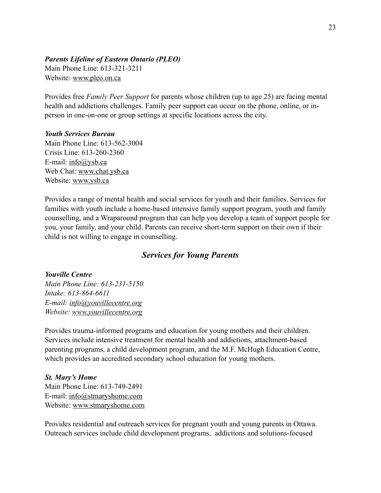#### *Parents Lifeline of Eastern Ontario (PLEO)*

Main Phone Line: 613-321-3211 Website: [www.pleo.on.ca](http://www.pleo.on.ca)

Provides free *Family Peer Support* for parents whose children (up to age 25) are facing mental health and addictions challenges. Family peer support can occur on the phone, online, or inperson in one-on-one or group settings at specific locations across the city.

#### *Youth Services Bureau*

Main Phone Line: 613-562-3004 Crisis Line: 613-260-2360 E-mail: [info@ysb.ca](mailto:info@ysb.ca)  Web Chat: [www.chat.ysb.ca](http://www.chat.ysb.ca) Website: [www.ysb.ca](http://www.ysb.ca)

Provides a range of mental health and social services for youth and their families. Services for families with youth include a home-based intensive family support program, youth and family counselling, and a Wraparound program that can help you develop a team of support people for you, your family, and your child. Parents can receive short-term support on their own if their child is not willing to engage in counselling.

# *Services for Young Parents*

#### *Youville Centre*

*Main Phone Line: 613-231-5150 Intake: 613-864-6611 E-mail: [info@youvillecentre.org](mailto:info@youvillecentre.org) Website: [www.youvillecentre.org](http://www.youvillecentre.org)* 

Provides trauma-informed programs and education for young mothers and their children. Services include intensive treatment for mental health and addictions, attachment-based parenting programs, a child development program, and the M.F. McHugh Education Centre, which provides an accredited secondary school education for young mothers.

#### *St. Mary's Home*

Main Phone Line: 613-749-2491 E-mail: [info@stmaryshome.com](mailto:info@stmaryshome.com) Website: [www.stmaryshome.com](http://www.stmaryshome.com) 

Provides residential and outreach services for pregnant youth and young parents in Ottawa. Outreach services include child development programs, addictions and solutions-focused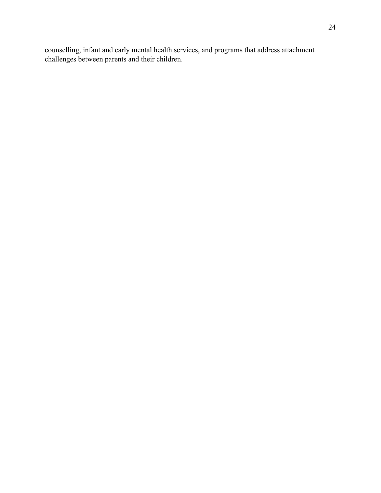counselling, infant and early mental health services, and programs that address attachment challenges between parents and their children.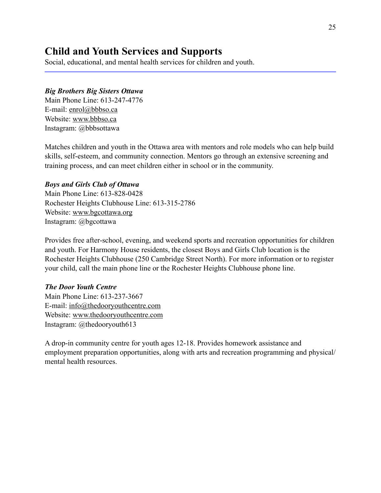# **Child and Youth Services and Supports**

Social, educational, and mental health services for children and youth.

#### *Big Brothers Big Sisters Ottawa*

Main Phone Line: 613-247-4776 E-mail: [enrol@bbbso.ca](mailto:enrol@bbbso.ca) Website: [www.bbbso.ca](http://www.bbbso.ca) Instagram: @bbbsottawa

Matches children and youth in the Ottawa area with mentors and role models who can help build skills, self-esteem, and community connection. Mentors go through an extensive screening and training process, and can meet children either in school or in the community.

#### *Boys and Girls Club of Ottawa*

Main Phone Line: 613-828-0428 Rochester Heights Clubhouse Line: 613-315-2786 Website: [www.bgcottawa.org](http://www.bgcottawa.org) Instagram: @bgcottawa

Provides free after-school, evening, and weekend sports and recreation opportunities for children and youth. For Harmony House residents, the closest Boys and Girls Club location is the Rochester Heights Clubhouse (250 Cambridge Street North). For more information or to register your child, call the main phone line or the Rochester Heights Clubhouse phone line.

#### *The Door Youth Centre*

Main Phone Line: 613-237-3667 E-mail: [info@thedooryouthcentre.com](mailto:info@thedooryouthcentre.com) Website: [www.thedooryouthcentre.com](http://www.thedooryouthcentre.com)  Instagram: @thedooryouth613

A drop-in community centre for youth ages 12-18. Provides homework assistance and employment preparation opportunities, along with arts and recreation programming and physical/ mental health resources.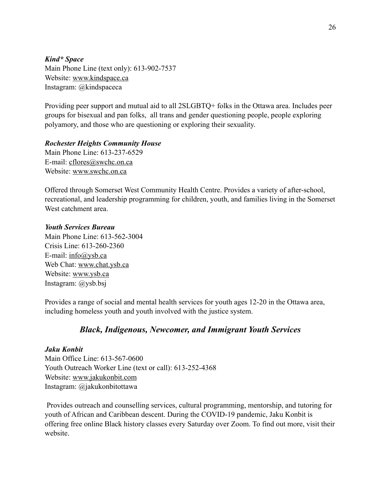#### *Kind\* Space*

Main Phone Line (text only): 613-902-7537 Website: [www.kindspace.ca](http://www.kindspace.ca)  Instagram: @kindspaceca

Providing peer support and mutual aid to all 2SLGBTQ+ folks in the Ottawa area. Includes peer groups for bisexual and pan folks, all trans and gender questioning people, people exploring polyamory, and those who are questioning or exploring their sexuality.

#### *Rochester Heights Community House*

Main Phone Line: 613-237-6529 E-mail: [cflores@swchc.on.ca](mailto:cflores@swchc.on.ca) Website: [www.swchc.on.ca](http://www.swchc.on.ca) 

Offered through Somerset West Community Health Centre. Provides a variety of after-school, recreational, and leadership programming for children, youth, and families living in the Somerset West catchment area.

#### *Youth Services Bureau*

Main Phone Line: 613-562-3004 Crisis Line: 613-260-2360 E-mail: [info@ysb.ca](mailto:info@ysb.ca)  Web Chat: [www.chat.ysb.ca](http://www.chat.ysb.ca) Website: [www.ysb.ca](http://www.ysb.ca) Instagram: @ysb.bsj

Provides a range of social and mental health services for youth ages 12-20 in the Ottawa area, including homeless youth and youth involved with the justice system.

# *Black, Indigenous, Newcomer, and Immigrant Youth Services*

#### *Jaku Konbit*

Main Office Line: 613-567-0600 Youth Outreach Worker Line (text or call): 613-252-4368 Website: [www.jakukonbit.com](http://www.jakukonbit.com)  Instagram: @jakukonbitottawa

 Provides outreach and counselling services, cultural programming, mentorship, and tutoring for youth of African and Caribbean descent. During the COVID-19 pandemic, Jaku Konbit is offering free online Black history classes every Saturday over Zoom. To find out more, visit their website.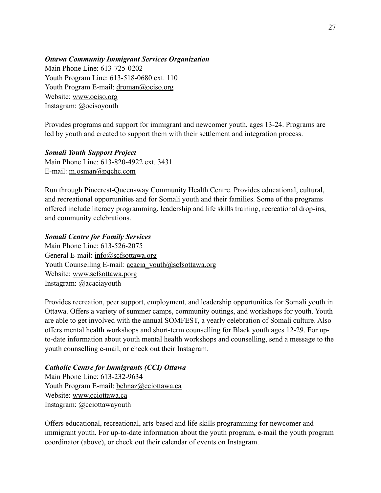#### *Ottawa Community Immigrant Services Organization*

Main Phone Line: 613-725-0202 Youth Program Line: 613-518-0680 ext. 110 Youth Program E-mail: [droman@ociso.org](mailto:droman@ociso.org) Website: [www.ociso.org](http://www.ociso.org) Instagram: @ocisoyouth

Provides programs and support for immigrant and newcomer youth, ages 13-24. Programs are led by youth and created to support them with their settlement and integration process.

#### *Somali Youth Support Project*

Main Phone Line: 613-820-4922 ext. 3431 E-mail: [m.osman@pqchc.com](mailto:m.osman@pqchc.com)

Run through Pinecrest-Queensway Community Health Centre. Provides educational, cultural, and recreational opportunities and for Somali youth and their families. Some of the programs offered include literacy programming, leadership and life skills training, recreational drop-ins, and community celebrations.

#### *Somali Centre for Family Services*

Main Phone Line: 613-526-2075 General E-mail: [info@scfsottawa.org](mailto:info@scfsottawa.org) Youth Counselling E-mail: acacia\_youth@scfsottawa.org Website: [www.scfsottawa.porg](http://www.scfsottawa.porg) Instagram: @acaciayouth

Provides recreation, peer support, employment, and leadership opportunities for Somali youth in Ottawa. Offers a variety of summer camps, community outings, and workshops for youth. Youth are able to get involved with the annual SOMFEST, a yearly celebration of Somali culture. Also offers mental health workshops and short-term counselling for Black youth ages 12-29. For upto-date information about youth mental health workshops and counselling, send a message to the youth counselling e-mail, or check out their Instagram.

#### *Catholic Centre for Immigrants (CCI) Ottawa*

Main Phone Line: 613-232-9634 Youth Program E-mail: behnaz@cciottawa.ca Website: [www.cciottawa.ca](http://www.cciottawa.ca) Instagram: @cciottawayouth

Offers educational, recreational, arts-based and life skills programming for newcomer and immigrant youth. For up-to-date information about the youth program, e-mail the youth program coordinator (above), or check out their calendar of events on Instagram.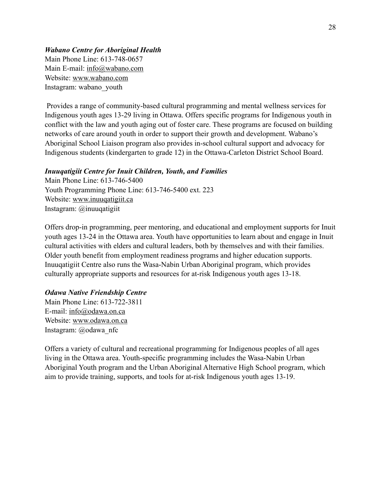#### *Wabano Centre for Aboriginal Health*

Main Phone Line: 613-748-0657 Main E-mail: [info@wabano.com](mailto:info@wabano.com)  Website: [www.wabano.com](http://www.wabano.com) Instagram: wabano\_youth

 Provides a range of community-based cultural programming and mental wellness services for Indigenous youth ages 13-29 living in Ottawa. Offers specific programs for Indigenous youth in conflict with the law and youth aging out of foster care. These programs are focused on building networks of care around youth in order to support their growth and development. Wabano's Aboriginal School Liaison program also provides in-school cultural support and advocacy for Indigenous students (kindergarten to grade 12) in the Ottawa-Carleton District School Board.

#### *Inuuqatigiit Centre for Inuit Children, Youth, and Families*

Main Phone Line: 613-746-5400 Youth Programming Phone Line: 613-746-5400 ext. 223 Website: [www.inuuqatigiit.ca](http://www.inuuqatigiit.ca) Instagram: @inuuqatigiit

Offers drop-in programming, peer mentoring, and educational and employment supports for Inuit youth ages 13-24 in the Ottawa area. Youth have opportunities to learn about and engage in Inuit cultural activities with elders and cultural leaders, both by themselves and with their families. Older youth benefit from employment readiness programs and higher education supports. Inuuqatigiit Centre also runs the Wasa-Nabin Urban Aboriginal program, which provides culturally appropriate supports and resources for at-risk Indigenous youth ages 13-18.

#### *Odawa Native Friendship Centre*

Main Phone Line: 613-722-3811 E-mail: [info@odawa.on.ca](mailto:info@odawa.on.ca) Website: [www.odawa.on.ca](http://www.odawa.on.ca)  Instagram: @odawa\_nfc

Offers a variety of cultural and recreational programming for Indigenous peoples of all ages living in the Ottawa area. Youth-specific programming includes the Wasa-Nabin Urban Aboriginal Youth program and the Urban Aboriginal Alternative High School program, which aim to provide training, supports, and tools for at-risk Indigenous youth ages 13-19.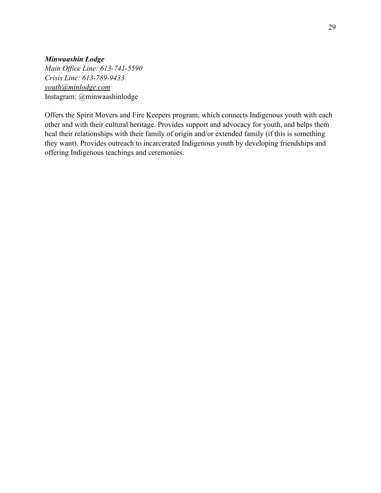#### *Minwaashin Lodge*

*Main Office Line: 613-741-5590 Crisis Line: 613-789-9433 [youth@minlodge.com](mailto:youth@minlodge.com)*  Instagram: @minwaashinlodge

Offers the Spirit Movers and Fire Keepers program, which connects Indigenous youth with each other and with their cultural heritage. Provides support and advocacy for youth, and helps them heal their relationships with their family of origin and/or extended family (if this is something they want). Provides outreach to incarcerated Indigenous youth by developing friendships and offering Indigenous teachings and ceremonies.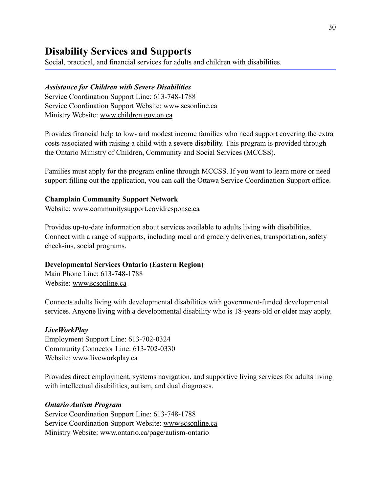# **Disability Services and Supports**

Social, practical, and financial services for adults and children with disabilities.

#### *Assistance for Children with Severe Disabilities*

Service Coordination Support Line: 613-748-1788 Service Coordination Support Website: [www.scsonline.ca](http://www.scsonline.ca) Ministry Website: [www.children.gov.on.ca](http://www.children.gov.on.ca)

Provides financial help to low- and modest income families who need support covering the extra costs associated with raising a child with a severe disability. This program is provided through the Ontario Ministry of Children, Community and Social Services (MCCSS).

Families must apply for the program online through MCCSS. If you want to learn more or need support filling out the application, you can call the Ottawa Service Coordination Support office.

#### **Champlain Community Support Network**

Website: [www.communitysupport.covidresponse.ca](http://www.communitysupport.covidresponse.ca) 

Provides up-to-date information about services available to adults living with disabilities. Connect with a range of supports, including meal and grocery deliveries, transportation, safety check-ins, social programs.

#### **Developmental Services Ontario (Eastern Region)**

Main Phone Line: 613-748-1788 Website: [www.scsonline.ca](http://www.scsonline.ca)

Connects adults living with developmental disabilities with government-funded developmental services. Anyone living with a developmental disability who is 18-years-old or older may apply.

#### *LiveWorkPlay*

Employment Support Line: 613-702-0324 Community Connector Line: 613-702-0330 Website: [www.liveworkplay.ca](http://www.liveworkplay.ca)

Provides direct employment, systems navigation, and supportive living services for adults living with intellectual disabilities, autism, and dual diagnoses.

#### *Ontario Autism Program*

Service Coordination Support Line: 613-748-1788 Service Coordination Support Website: [www.scsonline.ca](http://www.scsonline.ca) Ministry Website: [www.ontario.ca/page/autism-ontario](http://www.ontario.ca/page/autism-ontario)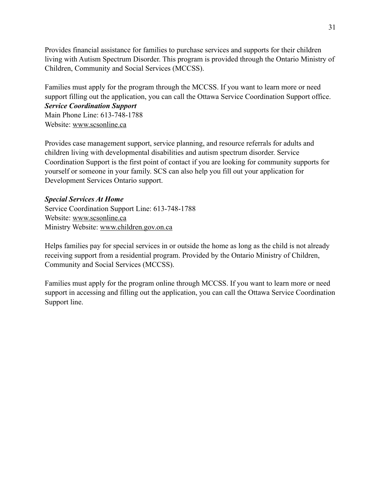Provides financial assistance for families to purchase services and supports for their children living with Autism Spectrum Disorder. This program is provided through the Ontario Ministry of Children, Community and Social Services (MCCSS).

Families must apply for the program through the MCCSS. If you want to learn more or need support filling out the application, you can call the Ottawa Service Coordination Support office. *Service Coordination Support* 

Main Phone Line: 613-748-1788 Website: [www.scsonline.ca](http://www.scsonline.ca)

Provides case management support, service planning, and resource referrals for adults and children living with developmental disabilities and autism spectrum disorder. Service Coordination Support is the first point of contact if you are looking for community supports for yourself or someone in your family. SCS can also help you fill out your application for Development Services Ontario support.

# *Special Services At Home*

Service Coordination Support Line: 613-748-1788 Website: [www.scsonline.ca](http://www.scsonline.ca) Ministry Website: [www.children.gov.on.ca](http://www.children.gov.on.ca)

Helps families pay for special services in or outside the home as long as the child is not already receiving support from a residential program. Provided by the Ontario Ministry of Children, Community and Social Services (MCCSS).

Families must apply for the program online through MCCSS. If you want to learn more or need support in accessing and filling out the application, you can call the Ottawa Service Coordination Support line.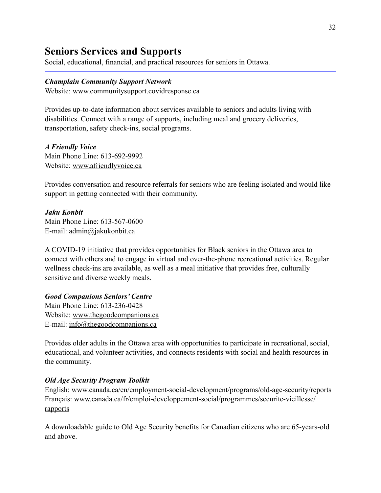# **Seniors Services and Supports**

Social, educational, financial, and practical resources for seniors in Ottawa.

#### *Champlain Community Support Network*

Website: [www.communitysupport.covidresponse.ca](http://www.communitysupport.covidresponse.ca) 

Provides up-to-date information about services available to seniors and adults living with disabilities. Connect with a range of supports, including meal and grocery deliveries, transportation, safety check-ins, social programs.

*A Friendly Voice*  Main Phone Line: 613-692-9992 Website: [www.afriendlyvoice.ca](http://www.afriendlyvoice.ca) 

Provides conversation and resource referrals for seniors who are feeling isolated and would like support in getting connected with their community.

#### *Jaku Konbit*

Main Phone Line: 613-567-0600 E-mail: [admin@jakukonbit.ca](mailto:admin@jakukonbit.ca)

A COVID-19 initiative that provides opportunities for Black seniors in the Ottawa area to connect with others and to engage in virtual and over-the-phone recreational activities. Regular wellness check-ins are available, as well as a meal initiative that provides free, culturally sensitive and diverse weekly meals.

# *Good Companions Seniors' Centre*

Main Phone Line: 613-236-0428 Website: [www.thegoodcompanions.ca](http://www.thegoodcompanions.ca) E-mail: [info@thegoodcompanions.ca](mailto:info@thegoodcompanions.ca)

Provides older adults in the Ottawa area with opportunities to participate in recreational, social, educational, and volunteer activities, and connects residents with social and health resources in the community.

#### *Old Age Security Program Toolkit*

English: [www.canada.ca/en/employment-social-development/programs/old-age-security/reports](http://www.canada.ca/en/employment-social-development/programs/old-age-security/reports) Français: [www.canada.ca/fr/emploi-developpement-social/programmes/securite-vieillesse/](http://www.canada.ca/fr/emploi-developpement-social/programmes/securite-vieillesse/rapports) [rapports](http://www.canada.ca/fr/emploi-developpement-social/programmes/securite-vieillesse/rapports)

A downloadable guide to Old Age Security benefits for Canadian citizens who are 65-years-old and above.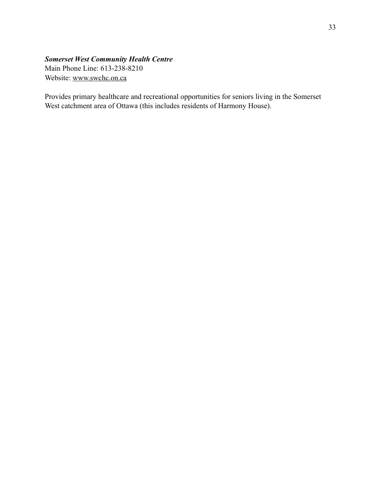# *Somerset West Community Health Centre*

Main Phone Line: 613-238-8210 Website: [www.swchc.on.ca](http://www.swchc.on.ca)

Provides primary healthcare and recreational opportunities for seniors living in the Somerset West catchment area of Ottawa (this includes residents of Harmony House).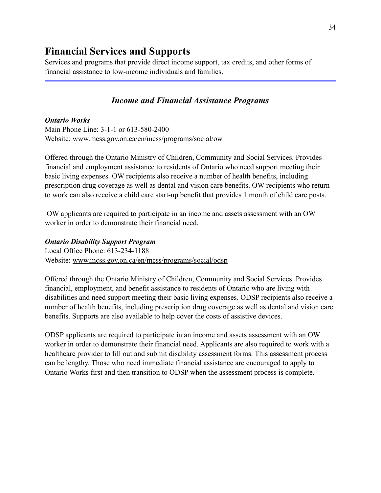# **Financial Services and Supports**

Services and programs that provide direct income support, tax credits, and other forms of financial assistance to low-income individuals and families.

# *Income and Financial Assistance Programs*

*Ontario Works*  Main Phone Line: 3-1-1 or 613-580-2400 Website: [www.mcss.gov.on.ca/en/mcss/programs/social/ow](http://www.mcss.gov.on.ca/en/mcss/programs/social/ow) 

Offered through the Ontario Ministry of Children, Community and Social Services. Provides financial and employment assistance to residents of Ontario who need support meeting their basic living expenses. OW recipients also receive a number of health benefits, including prescription drug coverage as well as dental and vision care benefits. OW recipients who return to work can also receive a child care start-up benefit that provides 1 month of child care posts.

 OW applicants are required to participate in an income and assets assessment with an OW worker in order to demonstrate their financial need.

#### *Ontario Disability Support Program*

Local Office Phone: 613-234-1188 Website: [www.mcss.gov.on.ca/en/mcss/programs/social/odsp](http://www.mcss.gov.on.ca/en/mcss/programs/social/odsp)

Offered through the Ontario Ministry of Children, Community and Social Services. Provides financial, employment, and benefit assistance to residents of Ontario who are living with disabilities and need support meeting their basic living expenses. ODSP recipients also receive a number of health benefits, including prescription drug coverage as well as dental and vision care benefits. Supports are also available to help cover the costs of assistive devices.

ODSP applicants are required to participate in an income and assets assessment with an OW worker in order to demonstrate their financial need. Applicants are also required to work with a healthcare provider to fill out and submit disability assessment forms. This assessment process can be lengthy. Those who need immediate financial assistance are encouraged to apply to Ontario Works first and then transition to ODSP when the assessment process is complete.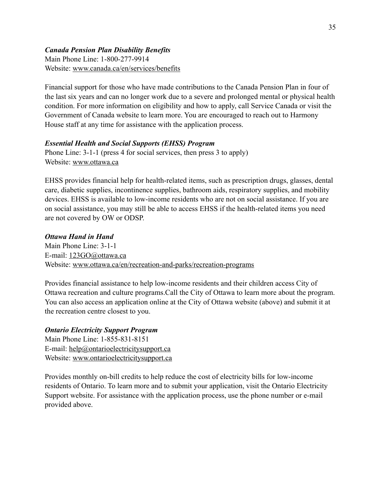# *Canada Pension Plan Disability Benefits*

Main Phone Line: 1-800-277-9914 Website: [www.canada.ca/en/services/benefits](http://www.canada.ca/en/services/benefits) 

Financial support for those who have made contributions to the Canada Pension Plan in four of the last six years and can no longer work due to a severe and prolonged mental or physical health condition. For more information on eligibility and how to apply, call Service Canada or visit the Government of Canada website to learn more. You are encouraged to reach out to Harmony House staff at any time for assistance with the application process.

#### *Essential Health and Social Supports (EHSS) Program*

Phone Line: 3-1-1 (press 4 for social services, then press 3 to apply) Website: [www.ottawa.ca](http://www.ottawa.ca) 

EHSS provides financial help for health-related items, such as prescription drugs, glasses, dental care, diabetic supplies, incontinence supplies, bathroom aids, respiratory supplies, and mobility devices. EHSS is available to low-income residents who are not on social assistance. If you are on social assistance, you may still be able to access EHSS if the health-related items you need are not covered by OW or ODSP.

#### *Ottawa Hand in Hand*

Main Phone Line: 3-1-1 E-mail: [123GO@ottawa.ca](mailto:123GO@ottawa.ca) Website: [www.ottawa.ca/en/recreation-and-parks/recreation-programs](http://www.ottawa.ca/en/recreation-and-parks/recreation-programs)

Provides financial assistance to help low-income residents and their children access City of Ottawa recreation and culture programs.Call the City of Ottawa to learn more about the program. You can also access an application online at the City of Ottawa website (above) and submit it at the recreation centre closest to you.

#### *Ontario Electricity Support Program*

Main Phone Line: 1-855-831-8151 E-mail: [help@ontarioelectricitysupport.ca](mailto:help@ontarioelectricitysupport.ca) Website: [www.ontarioelectricitysupport.ca](http://www.ontarioelectricitysupport.ca) 

Provides monthly on-bill credits to help reduce the cost of electricity bills for low-income residents of Ontario. To learn more and to submit your application, visit the Ontario Electricity Support website. For assistance with the application process, use the phone number or e-mail provided above.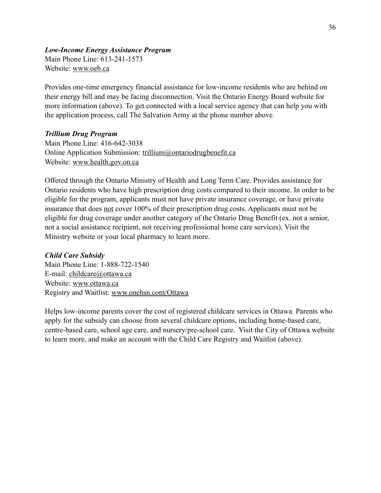#### *Low-Income Energy Assistance Program*

Main Phone Line: 613-241-1573 Website: [www.oeb.ca](http://www.oeb.ca)

Provides one-time emergency financial assistance for low-income residents who are behind on their energy bill and may be facing disconnection. Visit the Ontario Energy Board website for more information (above). To get connected with a local service agency that can help you with the application process, call The Salvation Army at the phone number above.

#### *Trillium Drug Program*

Main Phone Line: 416-642-3038 Online Application Submission: [trillium@ontariodrugbenefit.ca](mailto:trillium@ontariodrugbenefit.ca) Website: [www.health.gov.on.ca](http://www.health.gov.on.ca)

Offered through the Ontario Ministry of Health and Long Term Care. Provides assistance for Ontario residents who have high prescription drug costs compared to their income. In order to be eligible for the program, applicants must not have private insurance coverage, or have private insurance that does not cover 100% of their prescription drug costs. Applicants must not be eligible for drug coverage under another category of the Ontario Drug Benefit (ex. not a senior, not a social assistance recipient, not receiving professional home care services). Visit the Ministry website or your local pharmacy to learn more.

# *Child Care Subsidy*

Main Phone Line: 1-888-722-1540 E-mail: [childcare@ottawa.ca](mailto:childcare@ottawa.ca) Website: [www.ottawa.ca](http://www.ottawa.ca)  Registry and Waitlist: [www.onehsn.com/Ottawa](http://www.onehsn.com/Ottawa)

Helps low-income parents cover the cost of registered childcare services in Ottawa. Parents who apply for the subsidy can choose from several childcare options, including home-based care, centre-based care, school age care, and nursery/pre-school care. Visit the City of Ottawa website to learn more, and make an account with the Child Care Registry and Waitlist (above).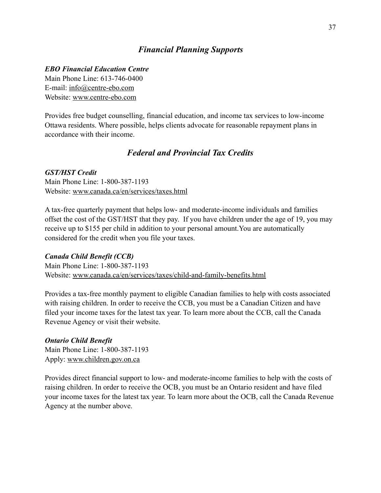# *Financial Planning Supports*

#### *EBO Financial Education Centre*

Main Phone Line: 613-746-0400 E-mail: [info@centre-ebo.com](mailto:info@centre-ebo.com) Website: [www.centre-ebo.com](http://www.centre-ebo.com)

Provides free budget counselling, financial education, and income tax services to low-income Ottawa residents. Where possible, helps clients advocate for reasonable repayment plans in accordance with their income.

# *Federal and Provincial Tax Credits*

#### *GST/HST Credit*

Main Phone Line: 1-800-387-1193 Website: [www.canada.ca/en/services/taxes.html](https://www.canada.ca/en/services/taxes.html) 

A tax-free quarterly payment that helps low- and moderate-income individuals and families offset the cost of the GST/HST that they pay. If you have children under the age of 19, you may receive up to \$155 per child in addition to your personal amount.You are automatically considered for the credit when you file your taxes.

#### *Canada Child Benefit (CCB)*

Main Phone Line: 1-800-387-1193 Website: [www.canada.ca/en/services/taxes/child-and-family-benefits.html](https://www.canada.ca/en/services/taxes/child-and-family-benefits.html)

Provides a tax-free monthly payment to eligible Canadian families to help with costs associated with raising children. In order to receive the CCB, you must be a Canadian Citizen and have filed your income taxes for the latest tax year. To learn more about the CCB, call the Canada Revenue Agency or visit their website.

#### *Ontario Child Benefit*

Main Phone Line: 1-800-387-1193 Apply: [www.children.gov.on.ca](http://www.children.gov.on.ca) 

Provides direct financial support to low- and moderate-income families to help with the costs of raising children. In order to receive the OCB, you must be an Ontario resident and have filed your income taxes for the latest tax year. To learn more about the OCB, call the Canada Revenue Agency at the number above.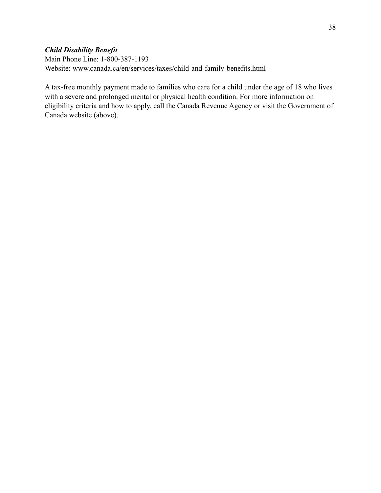# *Child Disability Benefit*

Main Phone Line: 1-800-387-1193 Website: [www.canada.ca/en/services/taxes/child-and-family-benefits.html](https://www.canada.ca/en/services/taxes/child-and-family-benefits.html)

A tax-free monthly payment made to families who care for a child under the age of 18 who lives with a severe and prolonged mental or physical health condition. For more information on eligibility criteria and how to apply, call the Canada Revenue Agency or visit the Government of Canada website (above).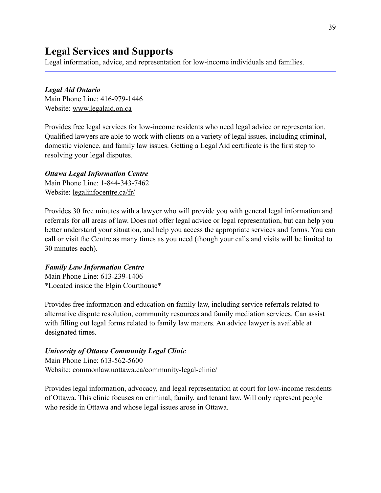# **Legal Services and Supports**

Legal information, advice, and representation for low-income individuals and families.

#### *Legal Aid Ontario*

Main Phone Line: 416-979-1446 Website: [www.legalaid.on.ca](http://www.legalaid.on.ca) 

Provides free legal services for low-income residents who need legal advice or representation. Qualified lawyers are able to work with clients on a variety of legal issues, including criminal, domestic violence, and family law issues. Getting a Legal Aid certificate is the first step to resolving your legal disputes.

#### *Ottawa Legal Information Centre*

Main Phone Line: 1-844-343-7462 Website: [legalinfocentre.ca/fr/](https://legalinfocentre.ca/fr/) 

Provides 30 free minutes with a lawyer who will provide you with general legal information and referrals for all areas of law. Does not offer legal advice or legal representation, but can help you better understand your situation, and help you access the appropriate services and forms. You can call or visit the Centre as many times as you need (though your calls and visits will be limited to 30 minutes each).

#### *Family Law Information Centre*

Main Phone Line: 613-239-1406 \*Located inside the Elgin Courthouse\*

Provides free information and education on family law, including service referrals related to alternative dispute resolution, community resources and family mediation services. Can assist with filling out legal forms related to family law matters. An advice lawyer is available at designated times.

#### *University of Ottawa Community Legal Clinic*

Main Phone Line: 613-562-5600 Website: [commonlaw.uottawa.ca/community-legal-clinic/](https://commonlaw.uottawa.ca/community-legal-clinic/)

Provides legal information, advocacy, and legal representation at court for low-income residents of Ottawa. This clinic focuses on criminal, family, and tenant law. Will only represent people who reside in Ottawa and whose legal issues arose in Ottawa.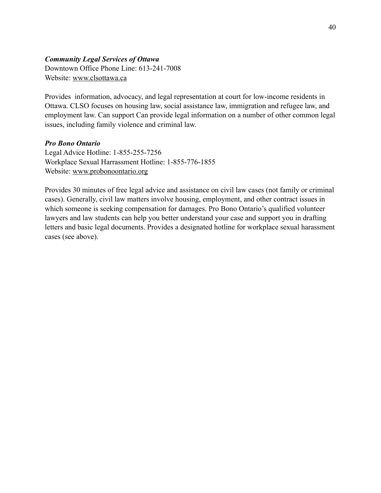#### *Community Legal Services of Ottawa*

Downtown Office Phone Line: 613-241-7008 Website: [www.clsottawa.ca](http://clsottawa.ca)

Provides information, advocacy, and legal representation at court for low-income residents in Ottawa. CLSO focuses on housing law, social assistance law, immigration and refugee law, and employment law. Can support Can provide legal information on a number of other common legal issues, including family violence and criminal law.

#### *Pro Bono Ontario*

Legal Advice Hotline: 1-855-255-7256 Workplace Sexual Harrassment Hotline: 1-855-776-1855 Website: [www.probonoontario.org](http://www.probonoontario.org)

Provides 30 minutes of free legal advice and assistance on civil law cases (not family or criminal cases). Generally, civil law matters involve housing, employment, and other contract issues in which someone is seeking compensation for damages. Pro Bono Ontario's qualified volunteer lawyers and law students can help you better understand your case and support you in drafting letters and basic legal documents. Provides a designated hotline for workplace sexual harassment cases (see above).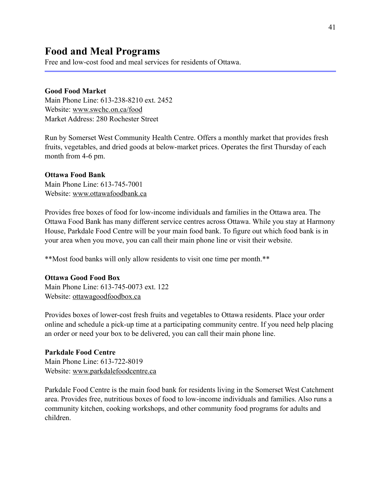**Food and Meal Programs** Free and low-cost food and meal services for residents of Ottawa.

#### **Good Food Market**

Main Phone Line: 613-238-8210 ext. 2452 Website: [www.swchc.on.ca/food](http://www.swchc.on.ca/food)  Market Address: 280 Rochester Street

Run by Somerset West Community Health Centre. Offers a monthly market that provides fresh fruits, vegetables, and dried goods at below-market prices. Operates the first Thursday of each month from 4-6 pm.

#### **Ottawa Food Bank**

Main Phone Line: 613-745-7001 Website: [www.ottawafoodbank.ca](http://www.ottawafoodbank.ca) 

Provides free boxes of food for low-income individuals and families in the Ottawa area. The Ottawa Food Bank has many different service centres across Ottawa. While you stay at Harmony House, Parkdale Food Centre will be your main food bank. To figure out which food bank is in your area when you move, you can call their main phone line or visit their website.

\*\*Most food banks will only allow residents to visit one time per month.\*\*

#### **Ottawa Good Food Box**

Main Phone Line: 613-745-0073 ext. 122 Website: [ottawagoodfoodbox.ca](http://ottawagoodfoodbox.ca)

Provides boxes of lower-cost fresh fruits and vegetables to Ottawa residents. Place your order online and schedule a pick-up time at a participating community centre. If you need help placing an order or need your box to be delivered, you can call their main phone line.

#### **Parkdale Food Centre**

Main Phone Line: 613-722-8019 Website: [www.parkdalefoodcentre.ca](http://www.parkdalefoodcentre.ca)

Parkdale Food Centre is the main food bank for residents living in the Somerset West Catchment area. Provides free, nutritious boxes of food to low-income individuals and families. Also runs a community kitchen, cooking workshops, and other community food programs for adults and children.